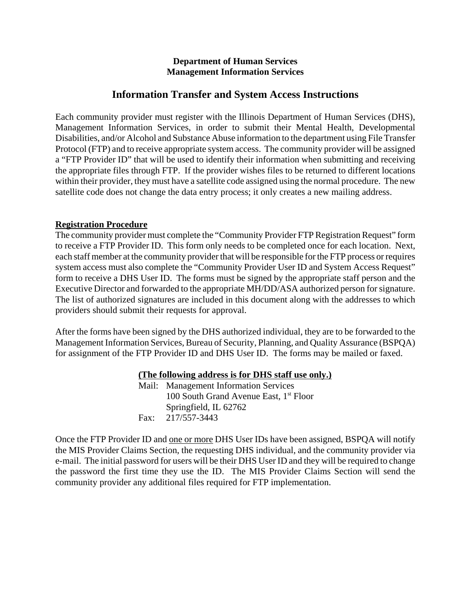### **Department of Human Services Management Information Services**

## **Information Transfer and System Access Instructions**

Each community provider must register with the Illinois Department of Human Services (DHS), Management Information Services, in order to submit their Mental Health, Developmental Disabilities, and/or Alcohol and Substance Abuse information to the department using File Transfer Protocol (FTP) and to receive appropriate system access. The community provider will be assigned a "FTP Provider ID" that will be used to identify their information when submitting and receiving the appropriate files through FTP. If the provider wishes files to be returned to different locations within their provider, they must have a satellite code assigned using the normal procedure. The new satellite code does not change the data entry process; it only creates a new mailing address.

### **Registration Procedure**

The community provider must complete the "Community Provider FTP Registration Request" form to receive a FTP Provider ID. This form only needs to be completed once for each location. Next, each staff member at the community provider that will be responsible for the FTP process or requires system access must also complete the "Community Provider User ID and System Access Request" form to receive a DHS User ID. The forms must be signed by the appropriate staff person and the Executive Director and forwarded to the appropriate MH/DD/ASA authorized person for signature. The list of authorized signatures are included in this document along with the addresses to which providers should submit their requests for approval.

After the forms have been signed by the DHS authorized individual, they are to be forwarded to the Management Information Services, Bureau of Security, Planning, and Quality Assurance (BSPQA) for assignment of the FTP Provider ID and DHS User ID. The forms may be mailed or faxed.

### **(The following address is for DHS staff use only.)**

Mail: Management Information Services 100 South Grand Avenue East, 1<sup>st</sup> Floor Springfield, IL 62762 Fax: 217/557-3443

Once the FTP Provider ID and one or more DHS User IDs have been assigned, BSPQA will notify the MIS Provider Claims Section, the requesting DHS individual, and the community provider via e-mail. The initial password for users will be their DHS User ID and they will be required to change the password the first time they use the ID. The MIS Provider Claims Section will send the community provider any additional files required for FTP implementation.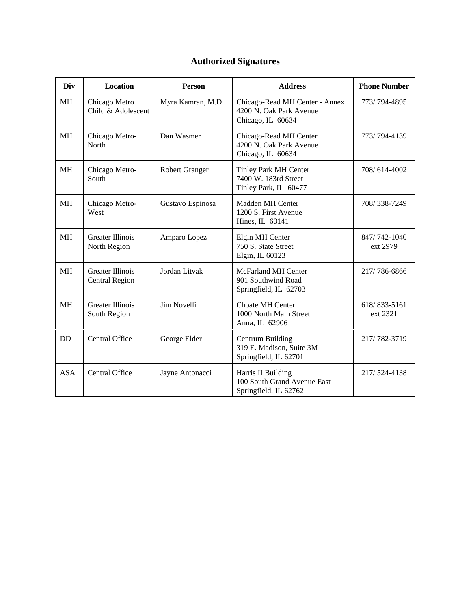# **Authorized Signatures**

| Div        | Location                                         | <b>Person</b>         | <b>Address</b>                                                                 | <b>Phone Number</b>      |
|------------|--------------------------------------------------|-----------------------|--------------------------------------------------------------------------------|--------------------------|
| <b>MH</b>  | Chicago Metro<br>Child & Adolescent              | Myra Kamran, M.D.     | Chicago-Read MH Center - Annex<br>4200 N. Oak Park Avenue<br>Chicago, IL 60634 | 773/794-4895             |
| <b>MH</b>  | Chicago Metro-<br>North                          | Dan Wasmer            | Chicago-Read MH Center<br>4200 N. Oak Park Avenue<br>Chicago, IL 60634         | 773/794-4139             |
| <b>MH</b>  | Chicago Metro-<br>South                          | <b>Robert Granger</b> | <b>Tinley Park MH Center</b><br>7400 W. 183rd Street<br>Tinley Park, IL 60477  | 708/614-4002             |
| <b>MH</b>  | Chicago Metro-<br>West                           | Gustavo Espinosa      | Madden MH Center<br>1200 S. First Avenue<br>Hines, IL 60141                    | 708/338-7249             |
| <b>MH</b>  | <b>Greater Illinois</b><br>North Region          | Amparo Lopez          | Elgin MH Center<br>750 S. State Street<br>Elgin, IL 60123                      | 847/742-1040<br>ext 2979 |
| <b>MH</b>  | <b>Greater Illinois</b><br><b>Central Region</b> | Jordan Litvak         | <b>McFarland MH Center</b><br>901 Southwind Road<br>Springfield, IL 62703      | 217/786-6866             |
| <b>MH</b>  | <b>Greater Illinois</b><br>South Region          | Jim Novelli           | <b>Choate MH Center</b><br>1000 North Main Street<br>Anna, IL 62906            | 618/833-5161<br>ext 2321 |
| <b>DD</b>  | Central Office                                   | George Elder          | <b>Centrum Building</b><br>319 E. Madison, Suite 3M<br>Springfield, IL 62701   | 217/782-3719             |
| <b>ASA</b> | Central Office                                   | Jayne Antonacci       | Harris II Building<br>100 South Grand Avenue East<br>Springfield, IL 62762     | 217/524-4138             |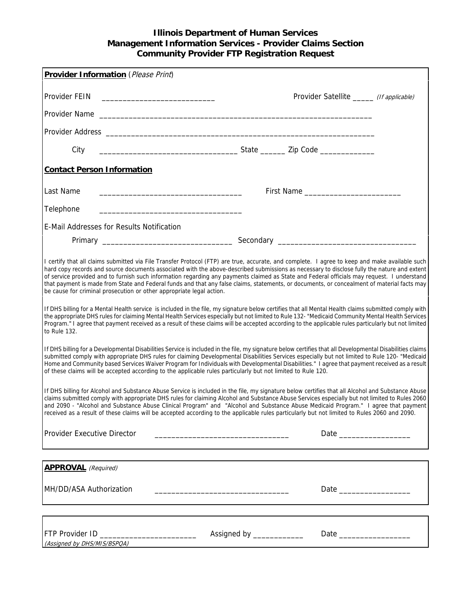### **Illinois Department of Human Services Management Information Services - Provider Claims Section Community Provider FTP Registration Request**

| Provider Information (Please Print)                                                                                                                                                                                                                                                                                                                                                                                                                                                                                                                                                                                                                                                                                                                                                                                                                                                                                                                                                                                                                                                                                                    |                                                                                                                       |  |  |  |  |  |
|----------------------------------------------------------------------------------------------------------------------------------------------------------------------------------------------------------------------------------------------------------------------------------------------------------------------------------------------------------------------------------------------------------------------------------------------------------------------------------------------------------------------------------------------------------------------------------------------------------------------------------------------------------------------------------------------------------------------------------------------------------------------------------------------------------------------------------------------------------------------------------------------------------------------------------------------------------------------------------------------------------------------------------------------------------------------------------------------------------------------------------------|-----------------------------------------------------------------------------------------------------------------------|--|--|--|--|--|
|                                                                                                                                                                                                                                                                                                                                                                                                                                                                                                                                                                                                                                                                                                                                                                                                                                                                                                                                                                                                                                                                                                                                        | Provider Satellite _______ (If applicable)                                                                            |  |  |  |  |  |
|                                                                                                                                                                                                                                                                                                                                                                                                                                                                                                                                                                                                                                                                                                                                                                                                                                                                                                                                                                                                                                                                                                                                        |                                                                                                                       |  |  |  |  |  |
|                                                                                                                                                                                                                                                                                                                                                                                                                                                                                                                                                                                                                                                                                                                                                                                                                                                                                                                                                                                                                                                                                                                                        |                                                                                                                       |  |  |  |  |  |
| City                                                                                                                                                                                                                                                                                                                                                                                                                                                                                                                                                                                                                                                                                                                                                                                                                                                                                                                                                                                                                                                                                                                                   |                                                                                                                       |  |  |  |  |  |
| <b>Contact Person Information</b>                                                                                                                                                                                                                                                                                                                                                                                                                                                                                                                                                                                                                                                                                                                                                                                                                                                                                                                                                                                                                                                                                                      |                                                                                                                       |  |  |  |  |  |
| Last Name<br><u> 1989 - Johann Harry Harry Harry Harry Harry Harry Harry Harry Harry Harry Harry Harry Harry Harry Harry Harry</u>                                                                                                                                                                                                                                                                                                                                                                                                                                                                                                                                                                                                                                                                                                                                                                                                                                                                                                                                                                                                     |                                                                                                                       |  |  |  |  |  |
| Telephone                                                                                                                                                                                                                                                                                                                                                                                                                                                                                                                                                                                                                                                                                                                                                                                                                                                                                                                                                                                                                                                                                                                              |                                                                                                                       |  |  |  |  |  |
| <b>E-Mail Addresses for Results Notification</b>                                                                                                                                                                                                                                                                                                                                                                                                                                                                                                                                                                                                                                                                                                                                                                                                                                                                                                                                                                                                                                                                                       |                                                                                                                       |  |  |  |  |  |
|                                                                                                                                                                                                                                                                                                                                                                                                                                                                                                                                                                                                                                                                                                                                                                                                                                                                                                                                                                                                                                                                                                                                        |                                                                                                                       |  |  |  |  |  |
| I certify that all claims submitted via File Transfer Protocol (FTP) are true, accurate, and complete. I agree to keep and make available such<br>hard copy records and source documents associated with the above-described submissions as necessary to disclose fully the nature and extent<br>of service provided and to furnish such information regarding any payments claimed as State and Federal officials may request. I understand<br>that payment is made from State and Federal funds and that any false claims, statements, or documents, or concealment of material facts may<br>be cause for criminal prosecution or other appropriate legal action.<br>If DHS billing for a Mental Health service is included in the file, my signature below certifies that all Mental Health claims submitted comply with<br>the appropriate DHS rules for claiming Mental Health Services especially but not limited to Rule 132- "Medicaid Community Mental Health Services<br>Program." I agree that payment received as a result of these claims will be accepted according to the applicable rules particularly but not limited |                                                                                                                       |  |  |  |  |  |
| to Rule 132.<br>If DHS billing for a Developmental Disabilities Service is included in the file, my signature below certifies that all Developmental Disabilities claims<br>submitted comply with appropriate DHS rules for claiming Developmental Disabilities Services especially but not limited to Rule 120- "Medicaid<br>Home and Community based Services Waiver Program for Individuals with Developmental Disabilities." I agree that payment received as a result<br>of these claims will be accepted according to the applicable rules particularly but not limited to Rule 120.                                                                                                                                                                                                                                                                                                                                                                                                                                                                                                                                             |                                                                                                                       |  |  |  |  |  |
| If DHS billing for Alcohol and Substance Abuse Service is included in the file, my signature below certifies that all Alcohol and Substance Abuse<br>claims submitted comply with appropriate DHS rules for claiming Alcohol and Substance Abuse Services especially but not limited to Rules 2060<br>and 2090 - "Alcohol and Substance Abuse Clinical Program" and "Alcohol and Substance Abuse Medicaid Program." I agree that payment<br>received as a result of these claims will be accepted according to the applicable rules particularly but not limited to Rules 2060 and 2090.                                                                                                                                                                                                                                                                                                                                                                                                                                                                                                                                               |                                                                                                                       |  |  |  |  |  |
| Provider Executive Director                                                                                                                                                                                                                                                                                                                                                                                                                                                                                                                                                                                                                                                                                                                                                                                                                                                                                                                                                                                                                                                                                                            |                                                                                                                       |  |  |  |  |  |
|                                                                                                                                                                                                                                                                                                                                                                                                                                                                                                                                                                                                                                                                                                                                                                                                                                                                                                                                                                                                                                                                                                                                        |                                                                                                                       |  |  |  |  |  |
| <b>APPROVAL</b> (Required)                                                                                                                                                                                                                                                                                                                                                                                                                                                                                                                                                                                                                                                                                                                                                                                                                                                                                                                                                                                                                                                                                                             |                                                                                                                       |  |  |  |  |  |
| MH/DD/ASA Authorization                                                                                                                                                                                                                                                                                                                                                                                                                                                                                                                                                                                                                                                                                                                                                                                                                                                                                                                                                                                                                                                                                                                | <u> 1989 - Johann Harry Harry Harry Harry Harry Harry Harry Harry Harry Harry Harry Harry Harry Harry Harry Harry</u> |  |  |  |  |  |
|                                                                                                                                                                                                                                                                                                                                                                                                                                                                                                                                                                                                                                                                                                                                                                                                                                                                                                                                                                                                                                                                                                                                        |                                                                                                                       |  |  |  |  |  |
| FTP Provider ID _____________________________<br>(Assigned by DHS/MIS/BSPOA)                                                                                                                                                                                                                                                                                                                                                                                                                                                                                                                                                                                                                                                                                                                                                                                                                                                                                                                                                                                                                                                           | Assigned by _____________                                                                                             |  |  |  |  |  |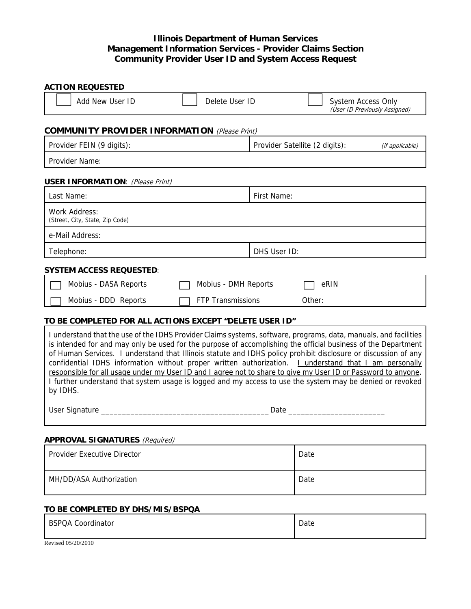### **Illinois Department of Human Services Management Information Services - Provider Claims Section Community Provider User ID and System Access Request**

| <b>ACTION REQUESTED</b>                                                                                                                                                                                                                                                                                                                                                                                                                                                                                                                                                                                                                                                                                      |                              |              |                                |                               |  |  |
|--------------------------------------------------------------------------------------------------------------------------------------------------------------------------------------------------------------------------------------------------------------------------------------------------------------------------------------------------------------------------------------------------------------------------------------------------------------------------------------------------------------------------------------------------------------------------------------------------------------------------------------------------------------------------------------------------------------|------------------------------|--------------|--------------------------------|-------------------------------|--|--|
| Add New User ID                                                                                                                                                                                                                                                                                                                                                                                                                                                                                                                                                                                                                                                                                              | Delete User ID               |              | <b>System Access Only</b>      | (User ID Previously Assigned) |  |  |
| <b>COMMUNITY PROVIDER INFORMATION</b> (Please Print)                                                                                                                                                                                                                                                                                                                                                                                                                                                                                                                                                                                                                                                         |                              |              |                                |                               |  |  |
| Provider FEIN (9 digits):                                                                                                                                                                                                                                                                                                                                                                                                                                                                                                                                                                                                                                                                                    |                              |              | Provider Satellite (2 digits): | (if applicable)               |  |  |
| Provider Name:                                                                                                                                                                                                                                                                                                                                                                                                                                                                                                                                                                                                                                                                                               |                              |              |                                |                               |  |  |
| <b>USER INFORMATION: (Please Print)</b>                                                                                                                                                                                                                                                                                                                                                                                                                                                                                                                                                                                                                                                                      |                              |              |                                |                               |  |  |
| Last Name:                                                                                                                                                                                                                                                                                                                                                                                                                                                                                                                                                                                                                                                                                                   |                              | First Name:  |                                |                               |  |  |
| Work Address:<br>(Street, City, State, Zip Code)                                                                                                                                                                                                                                                                                                                                                                                                                                                                                                                                                                                                                                                             |                              |              |                                |                               |  |  |
| e-Mail Address:                                                                                                                                                                                                                                                                                                                                                                                                                                                                                                                                                                                                                                                                                              |                              |              |                                |                               |  |  |
| Telephone:                                                                                                                                                                                                                                                                                                                                                                                                                                                                                                                                                                                                                                                                                                   |                              | DHS User ID: |                                |                               |  |  |
| <b>SYSTEM ACCESS REQUESTED:</b>                                                                                                                                                                                                                                                                                                                                                                                                                                                                                                                                                                                                                                                                              |                              |              |                                |                               |  |  |
| Mobius - DASA Reports                                                                                                                                                                                                                                                                                                                                                                                                                                                                                                                                                                                                                                                                                        | Mobius - DMH Reports<br>eRIN |              |                                |                               |  |  |
| Mobius - DDD Reports                                                                                                                                                                                                                                                                                                                                                                                                                                                                                                                                                                                                                                                                                         | <b>FTP Transmissions</b>     |              | Other:                         |                               |  |  |
| TO BE COMPLETED FOR ALL ACTIONS EXCEPT "DELETE USER ID"                                                                                                                                                                                                                                                                                                                                                                                                                                                                                                                                                                                                                                                      |                              |              |                                |                               |  |  |
| I understand that the use of the IDHS Provider Claims systems, software, programs, data, manuals, and facilities<br>is intended for and may only be used for the purpose of accomplishing the official business of the Department<br>of Human Services. I understand that Illinois statute and IDHS policy prohibit disclosure or discussion of any<br>confidential IDHS information without proper written authorization. <i>Landerstand that I am personally</i><br>responsible for all usage under my User ID and I agree not to share to give my User ID or Password to anyone.<br>I further understand that system usage is logged and my access to use the system may be denied or revoked<br>by IDHS. |                              |              |                                |                               |  |  |
| Date and the same of the same of the same of the same of the same of the same of the same of the same of the s                                                                                                                                                                                                                                                                                                                                                                                                                                                                                                                                                                                               |                              |              |                                |                               |  |  |
| <b>APPROVAL SIGNATURES</b> (Required)                                                                                                                                                                                                                                                                                                                                                                                                                                                                                                                                                                                                                                                                        |                              |              |                                |                               |  |  |
| Provider Executive Director                                                                                                                                                                                                                                                                                                                                                                                                                                                                                                                                                                                                                                                                                  |                              | Date         |                                |                               |  |  |
| MH/DD/ASA Authorization                                                                                                                                                                                                                                                                                                                                                                                                                                                                                                                                                                                                                                                                                      |                              | Date         |                                |                               |  |  |

### **TO BE COMPLETED BY DHS/MIS/BSPQA**

| <b>BSPQA Coordinator</b> | Date |
|--------------------------|------|
| Revised 05/20/2010       |      |